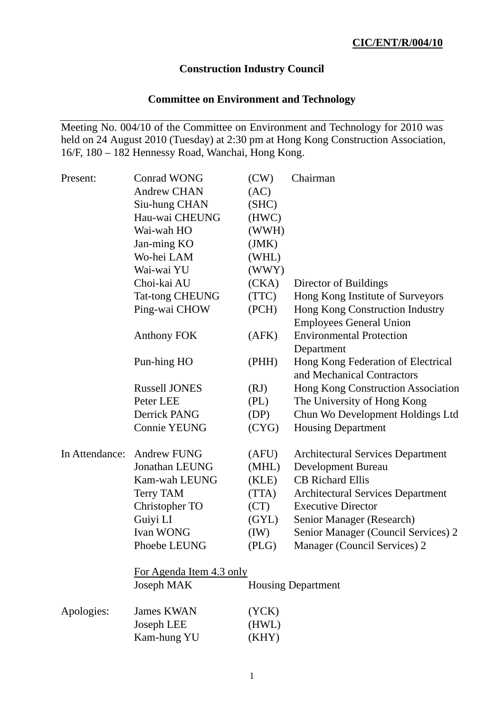# **Construction Industry Council**

# **Committee on Environment and Technology**

Meeting No. 004/10 of the Committee on Environment and Technology for 2010 was held on 24 August 2010 (Tuesday) at 2:30 pm at Hong Kong Construction Association, 16/F, 180 – 182 Hennessy Road, Wanchai, Hong Kong.

| Present:       | <b>Conrad WONG</b>       | (CW)  | Chairman                                                         |  |  |  |
|----------------|--------------------------|-------|------------------------------------------------------------------|--|--|--|
|                | <b>Andrew CHAN</b>       | (AC)  |                                                                  |  |  |  |
|                | Siu-hung CHAN            | (SHC) |                                                                  |  |  |  |
|                | Hau-wai CHEUNG           | (HWC) |                                                                  |  |  |  |
|                | Wai-wah HO               | (WWH) |                                                                  |  |  |  |
|                | Jan-ming KO              | (JMK) |                                                                  |  |  |  |
|                | Wo-hei LAM               | (WHL) |                                                                  |  |  |  |
|                | Wai-wai YU               | (WWY) |                                                                  |  |  |  |
|                | Choi-kai AU              | (CKA) | Director of Buildings                                            |  |  |  |
|                | <b>Tat-tong CHEUNG</b>   | (TTC) | Hong Kong Institute of Surveyors                                 |  |  |  |
|                | Ping-wai CHOW            | (PCH) | Hong Kong Construction Industry                                  |  |  |  |
|                |                          |       | <b>Employees General Union</b>                                   |  |  |  |
|                | <b>Anthony FOK</b>       | (AFK) | <b>Environmental Protection</b>                                  |  |  |  |
|                |                          |       | Department                                                       |  |  |  |
|                | Pun-hing HO              | (PHH) | Hong Kong Federation of Electrical<br>and Mechanical Contractors |  |  |  |
|                | <b>Russell JONES</b>     | (RJ)  | Hong Kong Construction Association                               |  |  |  |
|                | Peter LEE                | (PL)  | The University of Hong Kong                                      |  |  |  |
|                | Derrick PANG             | (DP)  | Chun Wo Development Holdings Ltd                                 |  |  |  |
|                | <b>Connie YEUNG</b>      | (CYG) | <b>Housing Department</b>                                        |  |  |  |
| In Attendance: | <b>Andrew FUNG</b>       | (AFU) | <b>Architectural Services Department</b>                         |  |  |  |
|                | <b>Jonathan LEUNG</b>    | (MHL) | Development Bureau                                               |  |  |  |
|                | Kam-wah LEUNG            | (KLE) | <b>CB</b> Richard Ellis                                          |  |  |  |
|                | <b>Terry TAM</b>         | (TTA) | <b>Architectural Services Department</b>                         |  |  |  |
|                | Christopher TO           | (CT)  | <b>Executive Director</b>                                        |  |  |  |
|                | Guiyi LI                 | (GYL) | Senior Manager (Research)                                        |  |  |  |
|                | <b>Ivan WONG</b>         | (IW)  | Senior Manager (Council Services) 2                              |  |  |  |
|                | Phoebe LEUNG             | (PLG) | Manager (Council Services) 2                                     |  |  |  |
|                | For Agenda Item 4.3 only |       |                                                                  |  |  |  |
|                | Joseph MAK               |       | <b>Housing Department</b>                                        |  |  |  |
| Apologies:     | <b>James KWAN</b>        | (YCK) |                                                                  |  |  |  |
|                | Joseph LEE               | (HWL) |                                                                  |  |  |  |
|                | Kam-hung YU              | (KHY) |                                                                  |  |  |  |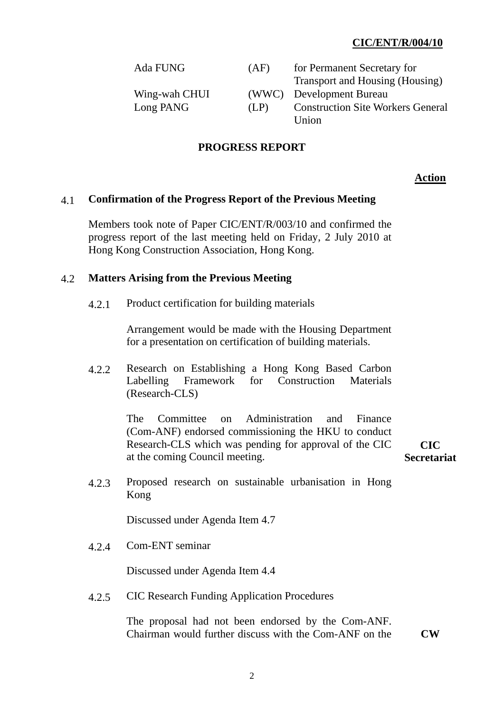# **CIC/ENT/R/004/10**

| Ada FUNG      | (AF) | for Permanent Secretary for              |
|---------------|------|------------------------------------------|
|               |      | Transport and Housing (Housing)          |
| Wing-wah CHUI |      | (WWC) Development Bureau                 |
| Long PANG     | (LP) | <b>Construction Site Workers General</b> |
|               |      | Union                                    |

# **PROGRESS REPORT**

#### **Action**

## 4.1 **Confirmation of the Progress Report of the Previous Meeting**

Members took note of Paper CIC/ENT/R/003/10 and confirmed the progress report of the last meeting held on Friday, 2 July 2010 at Hong Kong Construction Association, Hong Kong.

#### 4.2 **Matters Arising from the Previous Meeting**

4.2.1 Product certification for building materials

Arrangement would be made with the Housing Department for a presentation on certification of building materials.

 4.2.2 Research on Establishing a Hong Kong Based Carbon Labelling Framework for Construction Materials (Research-CLS)

> The Committee on Administration and Finance (Com-ANF) endorsed commissioning the HKU to conduct Research-CLS which was pending for approval of the CIC at the coming Council meeting.

**CIC Secretariat** 

 4.2.3 Proposed research on sustainable urbanisation in Hong Kong

Discussed under Agenda Item 4.7

4.2.4 Com-ENT seminar

Discussed under Agenda Item 4.4

4.2.5 CIC Research Funding Application Procedures

The proposal had not been endorsed by the Com-ANF. Chairman would further discuss with the Com-ANF on the **CW**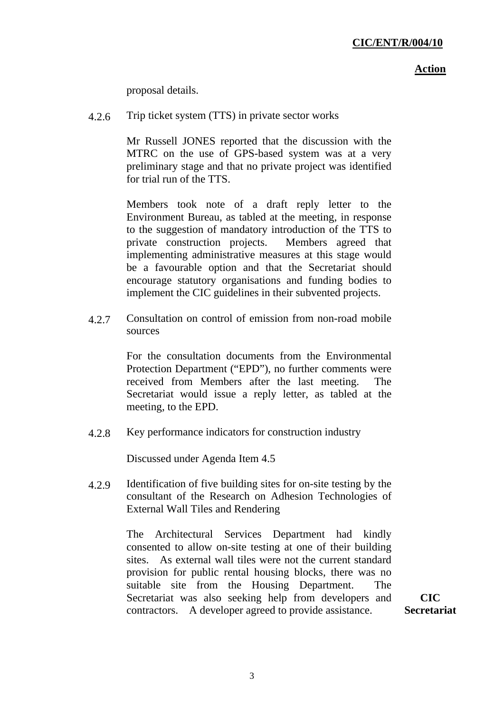#### **Action**

proposal details.

4.2.6 Trip ticket system (TTS) in private sector works

Mr Russell JONES reported that the discussion with the MTRC on the use of GPS-based system was at a very preliminary stage and that no private project was identified for trial run of the TTS.

Members took note of a draft reply letter to the Environment Bureau, as tabled at the meeting, in response to the suggestion of mandatory introduction of the TTS to private construction projects. Members agreed that implementing administrative measures at this stage would be a favourable option and that the Secretariat should encourage statutory organisations and funding bodies to implement the CIC guidelines in their subvented projects.

 4.2.7 Consultation on control of emission from non-road mobile sources

> For the consultation documents from the Environmental Protection Department ("EPD"), no further comments were received from Members after the last meeting. The Secretariat would issue a reply letter, as tabled at the meeting, to the EPD.

4.2.8 Key performance indicators for construction industry

Discussed under Agenda Item 4.5

 4.2.9 Identification of five building sites for on-site testing by the consultant of the Research on Adhesion Technologies of External Wall Tiles and Rendering

> The Architectural Services Department had kindly consented to allow on-site testing at one of their building sites. As external wall tiles were not the current standard provision for public rental housing blocks, there was no suitable site from the Housing Department. The Secretariat was also seeking help from developers and contractors. A developer agreed to provide assistance.

**CIC Secretariat**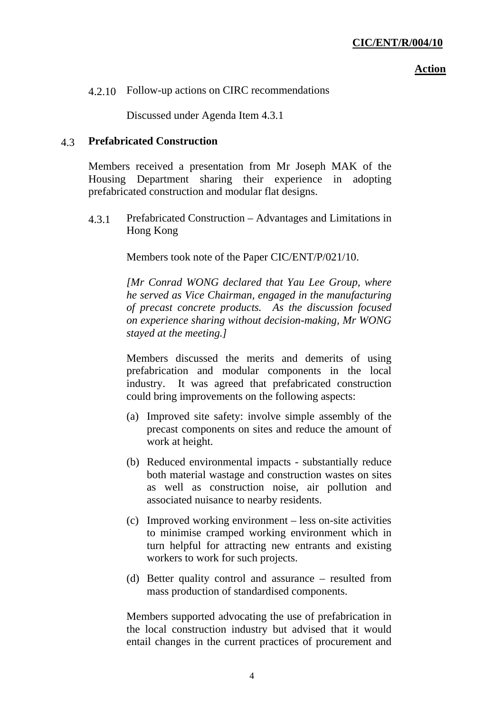#### **Action**

4.2.10 Follow-up actions on CIRC recommendations

Discussed under Agenda Item 4.3.1

### 4.3 **Prefabricated Construction**

Members received a presentation from Mr Joseph MAK of the Housing Department sharing their experience in adopting prefabricated construction and modular flat designs.

 4.3.1 Prefabricated Construction – Advantages and Limitations in Hong Kong

Members took note of the Paper CIC/ENT/P/021/10.

*[Mr Conrad WONG declared that Yau Lee Group, where he served as Vice Chairman, engaged in the manufacturing of precast concrete products. As the discussion focused on experience sharing without decision-making, Mr WONG stayed at the meeting.]* 

Members discussed the merits and demerits of using prefabrication and modular components in the local industry. It was agreed that prefabricated construction could bring improvements on the following aspects:

- (a) Improved site safety: involve simple assembly of the precast components on sites and reduce the amount of work at height.
- (b) Reduced environmental impacts substantially reduce both material wastage and construction wastes on sites as well as construction noise, air pollution and associated nuisance to nearby residents.
- (c) Improved working environment less on-site activities to minimise cramped working environment which in turn helpful for attracting new entrants and existing workers to work for such projects.
- (d) Better quality control and assurance resulted from mass production of standardised components.

Members supported advocating the use of prefabrication in the local construction industry but advised that it would entail changes in the current practices of procurement and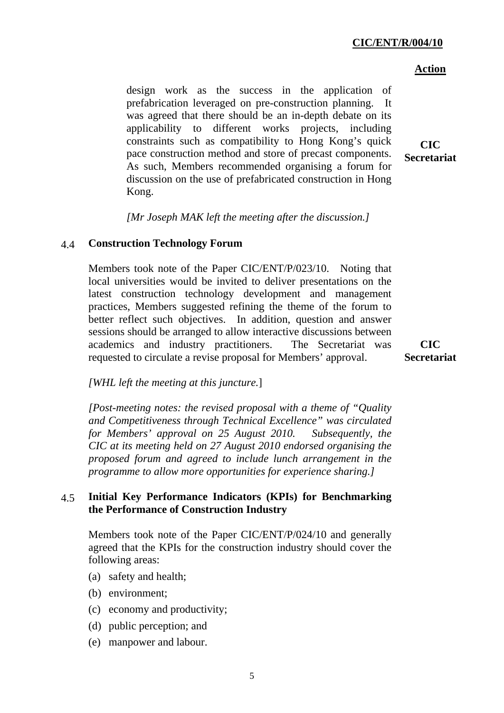## **CIC/ENT/R/004/10**

#### **Action**

design work as the success in the application of prefabrication leveraged on pre-construction planning. It was agreed that there should be an in-depth debate on its applicability to different works projects, including constraints such as compatibility to Hong Kong's quick pace construction method and store of precast components. As such, Members recommended organising a forum for discussion on the use of prefabricated construction in Hong Kong.

**CIC Secretariat** 

*[Mr Joseph MAK left the meeting after the discussion.]* 

### 4.4 **Construction Technology Forum**

Members took note of the Paper CIC/ENT/P/023/10. Noting that local universities would be invited to deliver presentations on the latest construction technology development and management practices, Members suggested refining the theme of the forum to better reflect such objectives. In addition, question and answer sessions should be arranged to allow interactive discussions between academics and industry practitioners. The Secretariat was requested to circulate a revise proposal for Members' approval.

**CIC Secretariat** 

#### *[WHL left the meeting at this juncture.*]

*[Post-meeting notes: the revised proposal with a theme of "Quality and Competitiveness through Technical Excellence" was circulated for Members' approval on 25 August 2010. Subsequently, the CIC at its meeting held on 27 August 2010 endorsed organising the proposed forum and agreed to include lunch arrangement in the programme to allow more opportunities for experience sharing.]* 

## 4.5 **Initial Key Performance Indicators (KPIs) for Benchmarking the Performance of Construction Industry**

Members took note of the Paper CIC/ENT/P/024/10 and generally agreed that the KPIs for the construction industry should cover the following areas:

- (a) safety and health;
- (b) environment;
- (c) economy and productivity;
- (d) public perception; and
- (e) manpower and labour.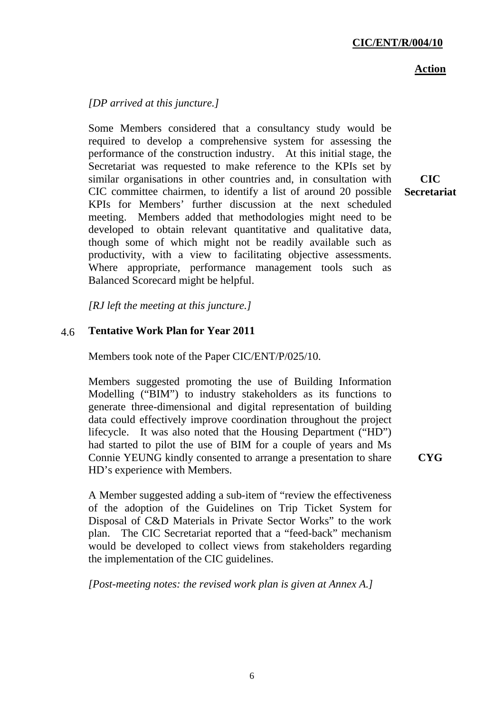### **Action**

# *[DP arrived at this juncture.]*

Some Members considered that a consultancy study would be required to develop a comprehensive system for assessing the performance of the construction industry. At this initial stage, the Secretariat was requested to make reference to the KPIs set by similar organisations in other countries and, in consultation with CIC committee chairmen, to identify a list of around 20 possible KPIs for Members' further discussion at the next scheduled meeting. Members added that methodologies might need to be developed to obtain relevant quantitative and qualitative data, though some of which might not be readily available such as productivity, with a view to facilitating objective assessments. Where appropriate, performance management tools such as Balanced Scorecard might be helpful.

*[RJ left the meeting at this juncture.]* 

# 4.6 **Tentative Work Plan for Year 2011**

Members took note of the Paper CIC/ENT/P/025/10.

Members suggested promoting the use of Building Information Modelling ("BIM") to industry stakeholders as its functions to generate three-dimensional and digital representation of building data could effectively improve coordination throughout the project lifecycle. It was also noted that the Housing Department ("HD") had started to pilot the use of BIM for a couple of years and Ms Connie YEUNG kindly consented to arrange a presentation to share HD's experience with Members.

A Member suggested adding a sub-item of "review the effectiveness of the adoption of the Guidelines on Trip Ticket System for Disposal of C&D Materials in Private Sector Works" to the work plan. The CIC Secretariat reported that a "feed-back" mechanism would be developed to collect views from stakeholders regarding

*[Post-meeting notes: the revised work plan is given at Annex A.]* 

the implementation of the CIC guidelines.

**CIC Secretariat** 

**CYG**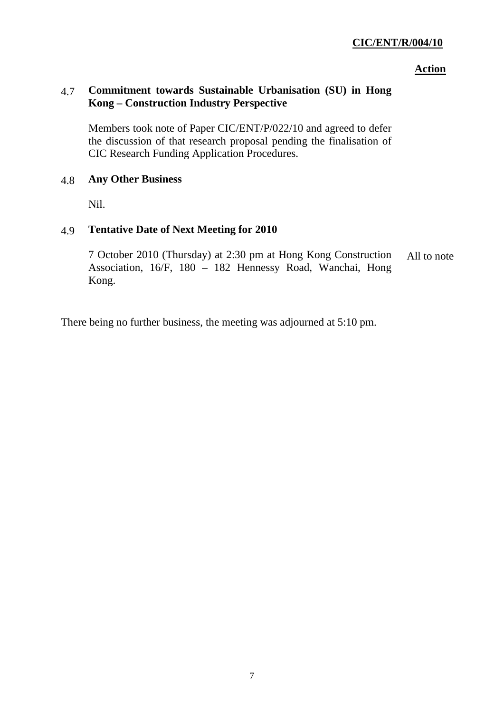# **CIC/ENT/R/004/10**

#### **Action**

# 4.7 **Commitment towards Sustainable Urbanisation (SU) in Hong Kong – Construction Industry Perspective**

Members took note of Paper CIC/ENT/P/022/10 and agreed to defer the discussion of that research proposal pending the finalisation of CIC Research Funding Application Procedures.

### 4.8 **Any Other Business**

Nil.

# 4.9 **Tentative Date of Next Meeting for 2010**

7 October 2010 (Thursday) at 2:30 pm at Hong Kong Construction Association, 16/F, 180 – 182 Hennessy Road, Wanchai, Hong Kong. All to note

There being no further business, the meeting was adjourned at 5:10 pm.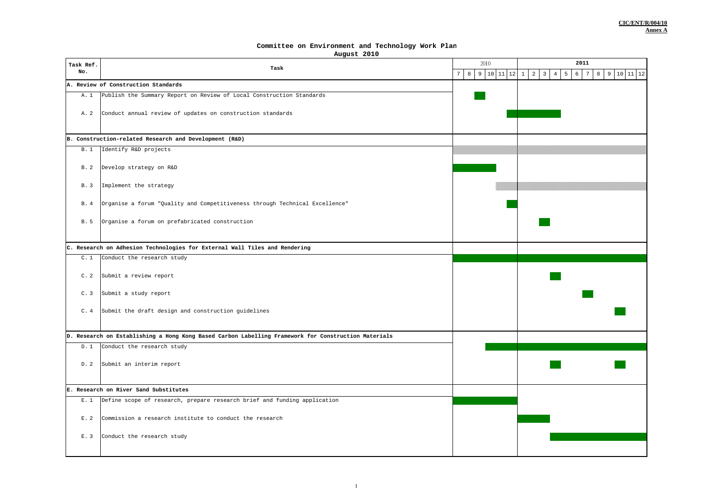#### **Committee on Environment and Technology Work Plan**

**August 2010**

| Task Ref.<br>No.                    |                                                                                                     |                                                    | 2011                                                                                                               |
|-------------------------------------|-----------------------------------------------------------------------------------------------------|----------------------------------------------------|--------------------------------------------------------------------------------------------------------------------|
|                                     | Task                                                                                                | 8<br>$\overline{7}$<br>9<br>10<br>$11\,$<br>$1\,2$ | $\overline{a}$<br>5<br>$6\overline{6}$<br>3<br>$\overline{4}$<br>$11\,$<br>12<br>7<br>8<br>9<br>10<br>$\mathbf{1}$ |
| A. Review of Construction Standards |                                                                                                     |                                                    |                                                                                                                    |
| A. 1                                | Publish the Summary Report on Review of Local Construction Standards                                |                                                    |                                                                                                                    |
| A. 2                                | Conduct annual review of updates on construction standards                                          |                                                    |                                                                                                                    |
|                                     | B. Construction-related Research and Development (R&D)                                              |                                                    |                                                                                                                    |
| <b>B.1</b>                          | Identify R&D projects                                                                               |                                                    |                                                                                                                    |
| B. 2                                | Develop strategy on R&D                                                                             |                                                    |                                                                                                                    |
| B. 3                                | Implement the strategy                                                                              |                                                    |                                                                                                                    |
| B. 4                                | Organise a forum "Quality and Competitiveness through Technical Excellence"                         |                                                    |                                                                                                                    |
| B. 5                                | Organise a forum on prefabricated construction                                                      |                                                    |                                                                                                                    |
|                                     | C. Research on Adhesion Technologies for External Wall Tiles and Rendering                          |                                                    |                                                                                                                    |
| C.1                                 | Conduct the research study                                                                          |                                                    |                                                                                                                    |
| C.2                                 | Submit a review report                                                                              |                                                    |                                                                                                                    |
| C.3                                 | Submit a study report                                                                               |                                                    |                                                                                                                    |
| C.4                                 | Submit the draft design and construction guidelines                                                 |                                                    |                                                                                                                    |
|                                     | D. Research on Establishing a Hong Kong Based Carbon Labelling Framework for Construction Materials |                                                    |                                                                                                                    |
| D.1                                 | Conduct the research study                                                                          |                                                    |                                                                                                                    |
| D. 2                                | Submit an interim report                                                                            |                                                    |                                                                                                                    |
|                                     | E. Research on River Sand Substitutes                                                               |                                                    |                                                                                                                    |
| E.1                                 | Define scope of research, prepare research brief and funding application                            |                                                    |                                                                                                                    |
|                                     |                                                                                                     |                                                    |                                                                                                                    |
| E.2                                 | Commission a research institute to conduct the research                                             |                                                    |                                                                                                                    |
| E. 3                                | Conduct the research study                                                                          |                                                    |                                                                                                                    |
|                                     |                                                                                                     |                                                    |                                                                                                                    |